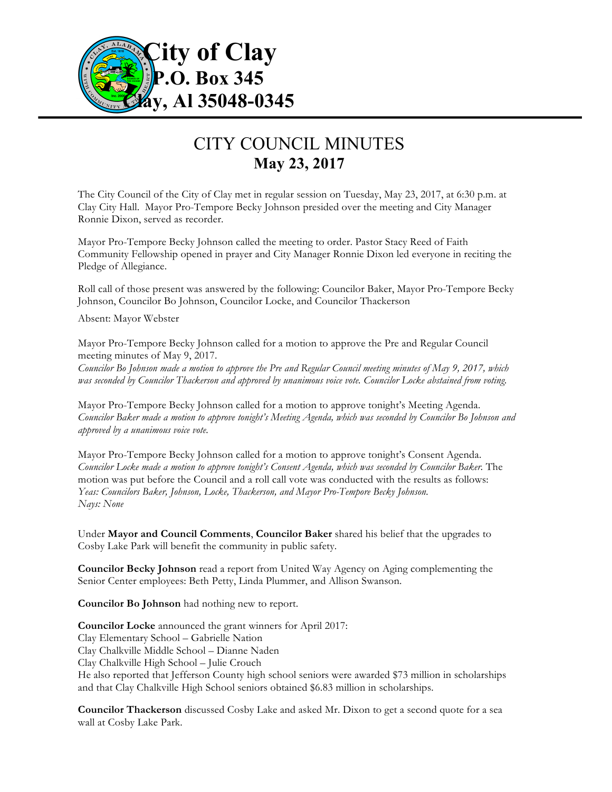

## CITY COUNCIL MINUTES **May 23, 2017**

The City Council of the City of Clay met in regular session on Tuesday, May 23, 2017, at 6:30 p.m. at Clay City Hall. Mayor Pro-Tempore Becky Johnson presided over the meeting and City Manager Ronnie Dixon, served as recorder.

Mayor Pro-Tempore Becky Johnson called the meeting to order. Pastor Stacy Reed of Faith Community Fellowship opened in prayer and City Manager Ronnie Dixon led everyone in reciting the Pledge of Allegiance.

Roll call of those present was answered by the following: Councilor Baker, Mayor Pro-Tempore Becky Johnson, Councilor Bo Johnson, Councilor Locke, and Councilor Thackerson

Absent: Mayor Webster

Mayor Pro-Tempore Becky Johnson called for a motion to approve the Pre and Regular Council meeting minutes of May 9, 2017.

*Councilor Bo Johnson made a motion to approve the Pre and Regular Council meeting minutes of May 9, 2017, which was seconded by Councilor Thackerson and approved by unanimous voice vote. Councilor Locke abstained from voting.*

Mayor Pro-Tempore Becky Johnson called for a motion to approve tonight's Meeting Agenda. *Councilor Baker made a motion to approve tonight's Meeting Agenda, which was seconded by Councilor Bo Johnson and approved by a unanimous voice vote.*

Mayor Pro-Tempore Becky Johnson called for a motion to approve tonight's Consent Agenda. *Councilor Locke made a motion to approve tonight's Consent Agenda, which was seconded by Councilor Baker.* The motion was put before the Council and a roll call vote was conducted with the results as follows: *Yeas: Councilors Baker, Johnson, Locke, Thackerson, and Mayor Pro-Tempore Becky Johnson. Nays: None*

Under **Mayor and Council Comments**, **Councilor Baker** shared his belief that the upgrades to Cosby Lake Park will benefit the community in public safety.

**Councilor Becky Johnson** read a report from United Way Agency on Aging complementing the Senior Center employees: Beth Petty, Linda Plummer, and Allison Swanson.

**Councilor Bo Johnson** had nothing new to report.

**Councilor Locke** announced the grant winners for April 2017: Clay Elementary School – Gabrielle Nation Clay Chalkville Middle School – Dianne Naden Clay Chalkville High School – Julie Crouch He also reported that Jefferson County high school seniors were awarded \$73 million in scholarships and that Clay Chalkville High School seniors obtained \$6.83 million in scholarships.

**Councilor Thackerson** discussed Cosby Lake and asked Mr. Dixon to get a second quote for a sea wall at Cosby Lake Park.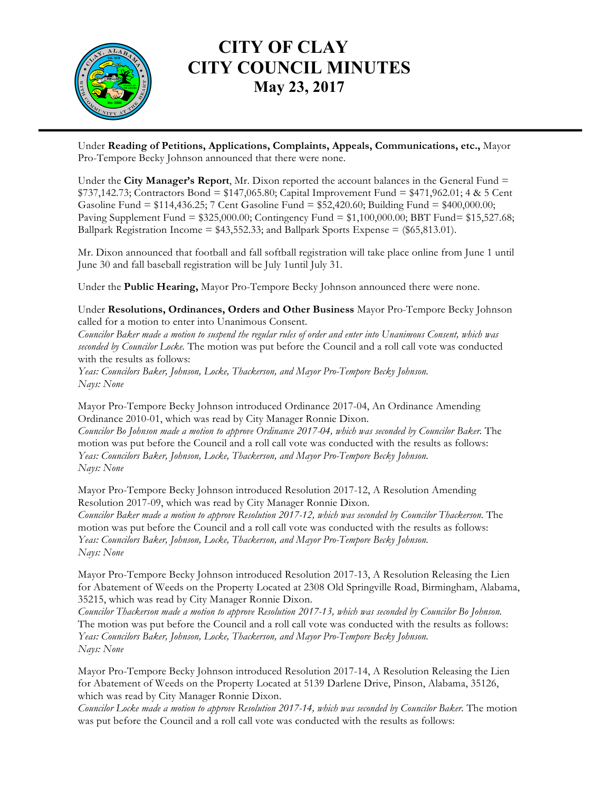

## **CITY OF CLAY CITY COUNCIL MINUTES May 23, 2017**

Under **Reading of Petitions, Applications, Complaints, Appeals, Communications, etc.,** Mayor Pro-Tempore Becky Johnson announced that there were none.

Under the **City Manager's Report**, Mr. Dixon reported the account balances in the General Fund =  $$737,142.73$ ; Contractors Bond =  $$147,065.80$ ; Capital Improvement Fund =  $$471,962.01$ ; 4 & 5 Cent Gasoline Fund = \$114,436.25; 7 Cent Gasoline Fund = \$52,420.60; Building Fund = \$400,000.00; Paving Supplement Fund = \$325,000.00; Contingency Fund = \$1,100,000.00; BBT Fund= \$15,527.68; Ballpark Registration Income = \$43,552.33; and Ballpark Sports Expense = (\$65,813.01).

Mr. Dixon announced that football and fall softball registration will take place online from June 1 until June 30 and fall baseball registration will be July 1until July 31.

Under the **Public Hearing,** Mayor Pro-Tempore Becky Johnson announced there were none.

Under **Resolutions, Ordinances, Orders and Other Business** Mayor Pro-Tempore Becky Johnson called for a motion to enter into Unanimous Consent.

*Councilor Baker made a motion to suspend the regular rules of order and enter into Unanimous Consent, which was seconded by Councilor Locke.* The motion was put before the Council and a roll call vote was conducted with the results as follows:

*Yeas: Councilors Baker, Johnson, Locke, Thackerson, and Mayor Pro-Tempore Becky Johnson. Nays: None*

Mayor Pro-Tempore Becky Johnson introduced Ordinance 2017-04, An Ordinance Amending Ordinance 2010-01, which was read by City Manager Ronnie Dixon.

*Councilor Bo Johnson made a motion to approve Ordinance 2017-04, which was seconded by Councilor Baker.* The motion was put before the Council and a roll call vote was conducted with the results as follows: *Yeas: Councilors Baker, Johnson, Locke, Thackerson, and Mayor Pro-Tempore Becky Johnson. Nays: None*

Mayor Pro-Tempore Becky Johnson introduced Resolution 2017-12, A Resolution Amending Resolution 2017-09, which was read by City Manager Ronnie Dixon. *Councilor Baker made a motion to approve Resolution 2017-12, which was seconded by Councilor Thackerson.* The motion was put before the Council and a roll call vote was conducted with the results as follows: *Yeas: Councilors Baker, Johnson, Locke, Thackerson, and Mayor Pro-Tempore Becky Johnson. Nays: None*

Mayor Pro-Tempore Becky Johnson introduced Resolution 2017-13, A Resolution Releasing the Lien for Abatement of Weeds on the Property Located at 2308 Old Springville Road, Birmingham, Alabama, 35215, which was read by City Manager Ronnie Dixon.

*Councilor Thackerson made a motion to approve Resolution 2017-13, which was seconded by Councilor Bo Johnson.*  The motion was put before the Council and a roll call vote was conducted with the results as follows: *Yeas: Councilors Baker, Johnson, Locke, Thackerson, and Mayor Pro-Tempore Becky Johnson. Nays: None*

Mayor Pro-Tempore Becky Johnson introduced Resolution 2017-14, A Resolution Releasing the Lien for Abatement of Weeds on the Property Located at 5139 Darlene Drive, Pinson, Alabama, 35126, which was read by City Manager Ronnie Dixon.

*Councilor Locke made a motion to approve Resolution 2017-14, which was seconded by Councilor Baker.* The motion was put before the Council and a roll call vote was conducted with the results as follows: